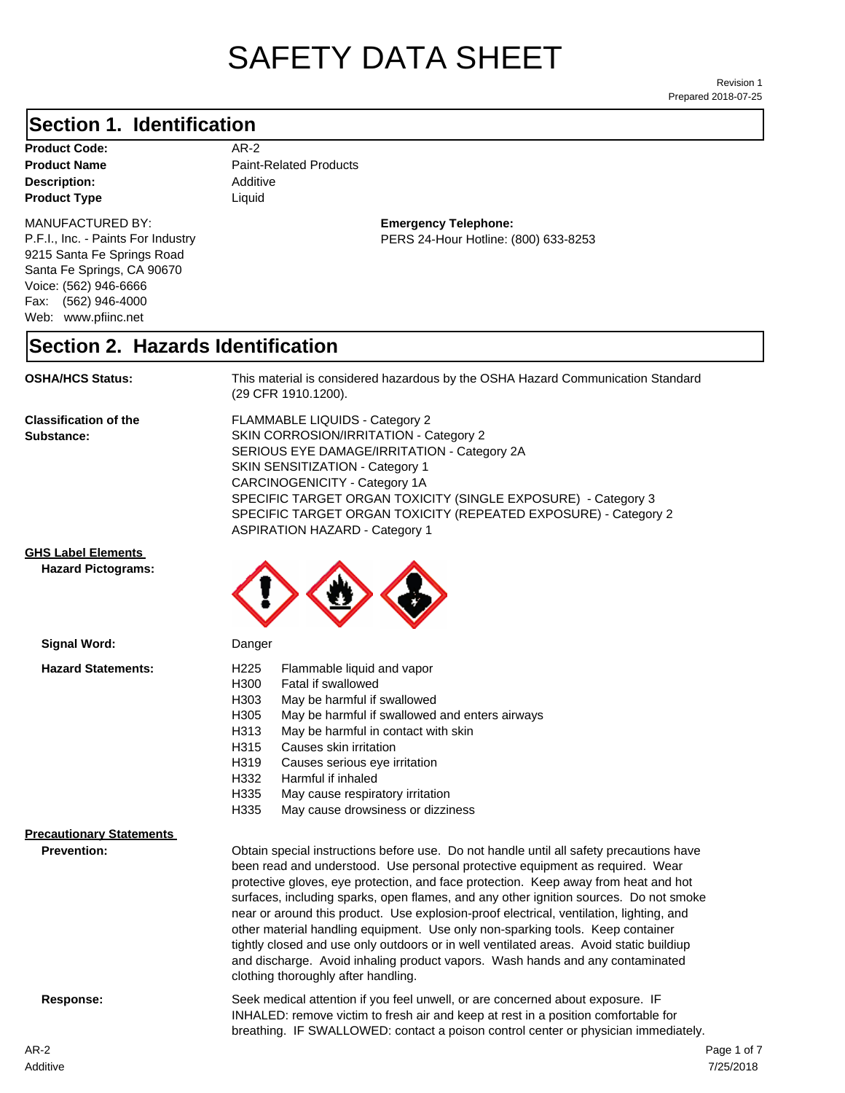# SAFETY DATA SHEET

Prepared 2018-07-25 Revision 1

# **Section 1. Identification**

| <b>Product Code:</b> | AR-2                          |
|----------------------|-------------------------------|
| <b>Product Name</b>  | <b>Paint-Related Products</b> |
| <b>Description:</b>  | Additive                      |
| <b>Product Type</b>  | Liauid                        |

### **Description:** Additive **Paint-Related Products**

MANUFACTURED BY:

P.F.I., Inc. - Paints For Industry 9215 Santa Fe Springs Road Santa Fe Springs, CA 90670 Voice: (562) 946-6666 Fax: (562) 946-4000 Web: www.pfiinc.net

**Emergency Telephone:**

PERS 24-Hour Hotline: (800) 633-8253

#### **Section 2. Hazards Identification**

**OSHA/HCS Status:** This material is considered hazardous by the OSHA Hazard Communication Standard (29 CFR 1910.1200).

**Classification of the Substance:**

FLAMMABLE LIQUIDS - Category 2 SKIN CORROSION/IRRITATION - Category 2 SERIOUS EYE DAMAGE/IRRITATION - Category 2A SKIN SENSITIZATION - Category 1 CARCINOGENICITY - Category 1A SPECIFIC TARGET ORGAN TOXICITY (SINGLE EXPOSURE) - Category 3 SPECIFIC TARGET ORGAN TOXICITY (REPEATED EXPOSURE) - Category 2 ASPIRATION HAZARD - Category 1

#### **GHS Label Elements**

**Hazard Pictograms:**



| Signal Word:                    | Danger                                                                                                                                                                                                                                                                                                                                                                                                                                                                                                                                                                                                                                                                                                                                                   |  |
|---------------------------------|----------------------------------------------------------------------------------------------------------------------------------------------------------------------------------------------------------------------------------------------------------------------------------------------------------------------------------------------------------------------------------------------------------------------------------------------------------------------------------------------------------------------------------------------------------------------------------------------------------------------------------------------------------------------------------------------------------------------------------------------------------|--|
| <b>Hazard Statements:</b>       | H <sub>225</sub><br>Flammable liquid and vapor<br>Fatal if swallowed<br>H300<br>May be harmful if swallowed<br>H303<br>May be harmful if swallowed and enters airways<br>H305<br>H313<br>May be harmful in contact with skin<br>Causes skin irritation<br>H315<br>H319<br>Causes serious eye irritation<br>H332<br>Harmful if inhaled<br>H335<br>May cause respiratory irritation<br>H335<br>May cause drowsiness or dizziness                                                                                                                                                                                                                                                                                                                           |  |
| <b>Precautionary Statements</b> |                                                                                                                                                                                                                                                                                                                                                                                                                                                                                                                                                                                                                                                                                                                                                          |  |
| <b>Prevention:</b>              | Obtain special instructions before use. Do not handle until all safety precautions have<br>been read and understood. Use personal protective equipment as required. Wear<br>protective gloves, eye protection, and face protection. Keep away from heat and hot<br>surfaces, including sparks, open flames, and any other ignition sources. Do not smoke<br>near or around this product. Use explosion-proof electrical, ventilation, lighting, and<br>other material handling equipment. Use only non-sparking tools. Keep container<br>tightly closed and use only outdoors or in well ventilated areas. Avoid static buildiup<br>and discharge. Avoid inhaling product vapors. Wash hands and any contaminated<br>clothing thoroughly after handling. |  |
| Response:                       | Seek medical attention if you feel unwell, or are concerned about exposure. IF<br>INHALED: remove victim to fresh air and keep at rest in a position comfortable for<br>breathing. IF SWALLOWED: contact a poison control center or physician immediately.                                                                                                                                                                                                                                                                                                                                                                                                                                                                                               |  |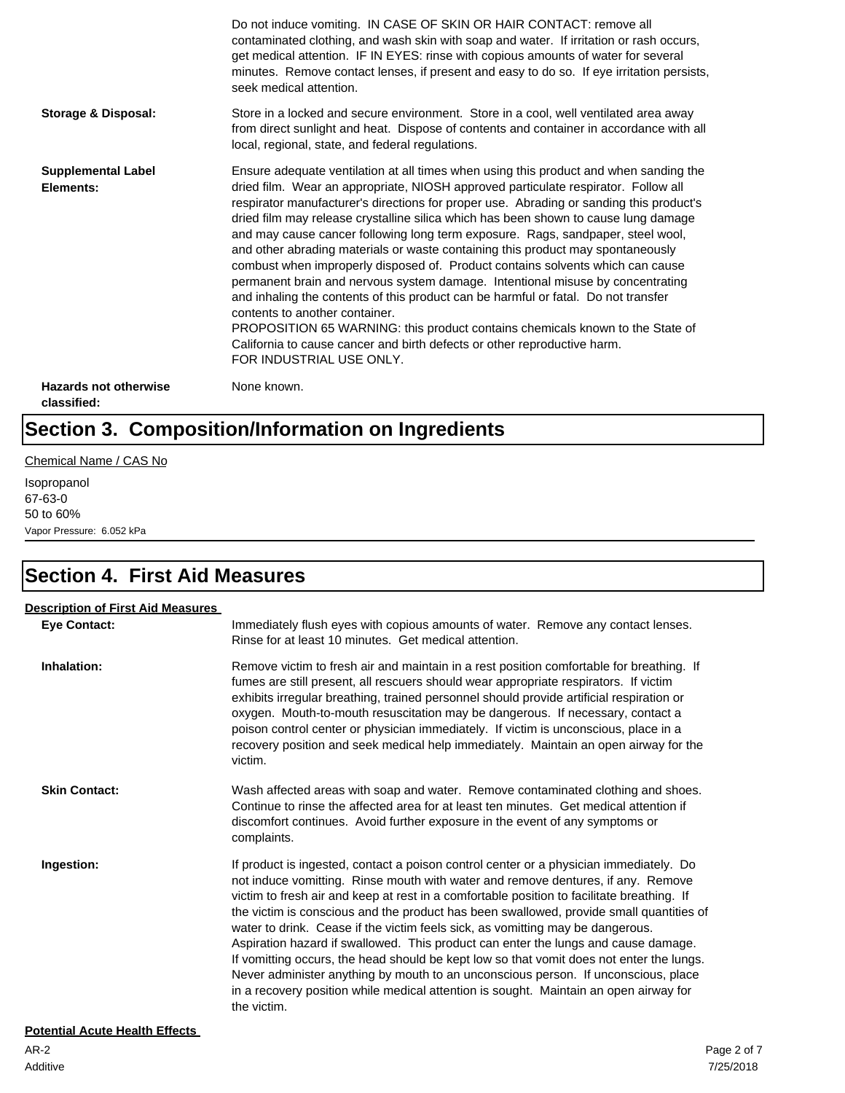|                                             | Do not induce vomiting. IN CASE OF SKIN OR HAIR CONTACT: remove all<br>contaminated clothing, and wash skin with soap and water. If irritation or rash occurs,<br>get medical attention. IF IN EYES: rinse with copious amounts of water for several<br>minutes. Remove contact lenses, if present and easy to do so. If eye irritation persists,<br>seek medical attention.                                                                                                                                                                                                                                                                                                                                                                                                                                                                                                                                                                                                                                             |
|---------------------------------------------|--------------------------------------------------------------------------------------------------------------------------------------------------------------------------------------------------------------------------------------------------------------------------------------------------------------------------------------------------------------------------------------------------------------------------------------------------------------------------------------------------------------------------------------------------------------------------------------------------------------------------------------------------------------------------------------------------------------------------------------------------------------------------------------------------------------------------------------------------------------------------------------------------------------------------------------------------------------------------------------------------------------------------|
| <b>Storage &amp; Disposal:</b>              | Store in a locked and secure environment. Store in a cool, well ventilated area away<br>from direct sunlight and heat. Dispose of contents and container in accordance with all<br>local, regional, state, and federal regulations.                                                                                                                                                                                                                                                                                                                                                                                                                                                                                                                                                                                                                                                                                                                                                                                      |
| <b>Supplemental Label</b><br>Elements:      | Ensure adequate ventilation at all times when using this product and when sanding the<br>dried film. Wear an appropriate, NIOSH approved particulate respirator. Follow all<br>respirator manufacturer's directions for proper use. Abrading or sanding this product's<br>dried film may release crystalline silica which has been shown to cause lung damage<br>and may cause cancer following long term exposure. Rags, sandpaper, steel wool,<br>and other abrading materials or waste containing this product may spontaneously<br>combust when improperly disposed of. Product contains solvents which can cause<br>permanent brain and nervous system damage. Intentional misuse by concentrating<br>and inhaling the contents of this product can be harmful or fatal. Do not transfer<br>contents to another container.<br>PROPOSITION 65 WARNING: this product contains chemicals known to the State of<br>California to cause cancer and birth defects or other reproductive harm.<br>FOR INDUSTRIAL USE ONLY. |
| <b>Hazards not otherwise</b><br>classified: | None known.                                                                                                                                                                                                                                                                                                                                                                                                                                                                                                                                                                                                                                                                                                                                                                                                                                                                                                                                                                                                              |

# **Section 3. Composition/Information on Ingredients**

#### Chemical Name / CAS No

Isopropanol 67-63-0 50 to 60% Vapor Pressure: 6.052 kPa

# **Section 4. First Aid Measures**

| <b>Description of First Aid Measures</b> |                                                                                                                                                                                                                                                                                                                                                                                                                                                                                                                                                                                                                                                                                                                                                                                                                                       |
|------------------------------------------|---------------------------------------------------------------------------------------------------------------------------------------------------------------------------------------------------------------------------------------------------------------------------------------------------------------------------------------------------------------------------------------------------------------------------------------------------------------------------------------------------------------------------------------------------------------------------------------------------------------------------------------------------------------------------------------------------------------------------------------------------------------------------------------------------------------------------------------|
| <b>Eve Contact:</b>                      | Immediately flush eyes with copious amounts of water. Remove any contact lenses.<br>Rinse for at least 10 minutes. Get medical attention.                                                                                                                                                                                                                                                                                                                                                                                                                                                                                                                                                                                                                                                                                             |
| Inhalation:                              | Remove victim to fresh air and maintain in a rest position comfortable for breathing. If<br>fumes are still present, all rescuers should wear appropriate respirators. If victim<br>exhibits irregular breathing, trained personnel should provide artificial respiration or<br>oxygen. Mouth-to-mouth resuscitation may be dangerous. If necessary, contact a<br>poison control center or physician immediately. If victim is unconscious, place in a<br>recovery position and seek medical help immediately. Maintain an open airway for the<br>victim.                                                                                                                                                                                                                                                                             |
| <b>Skin Contact:</b>                     | Wash affected areas with soap and water. Remove contaminated clothing and shoes.<br>Continue to rinse the affected area for at least ten minutes. Get medical attention if<br>discomfort continues. Avoid further exposure in the event of any symptoms or<br>complaints.                                                                                                                                                                                                                                                                                                                                                                                                                                                                                                                                                             |
| Ingestion:                               | If product is ingested, contact a poison control center or a physician immediately. Do<br>not induce vomitting. Rinse mouth with water and remove dentures, if any. Remove<br>victim to fresh air and keep at rest in a comfortable position to facilitate breathing. If<br>the victim is conscious and the product has been swallowed, provide small quantities of<br>water to drink. Cease if the victim feels sick, as vomitting may be dangerous.<br>Aspiration hazard if swallowed. This product can enter the lungs and cause damage.<br>If vomitting occurs, the head should be kept low so that vomit does not enter the lungs.<br>Never administer anything by mouth to an unconscious person. If unconscious, place<br>in a recovery position while medical attention is sought. Maintain an open airway for<br>the victim. |
| <b>Potential Acute Health Effects</b>    |                                                                                                                                                                                                                                                                                                                                                                                                                                                                                                                                                                                                                                                                                                                                                                                                                                       |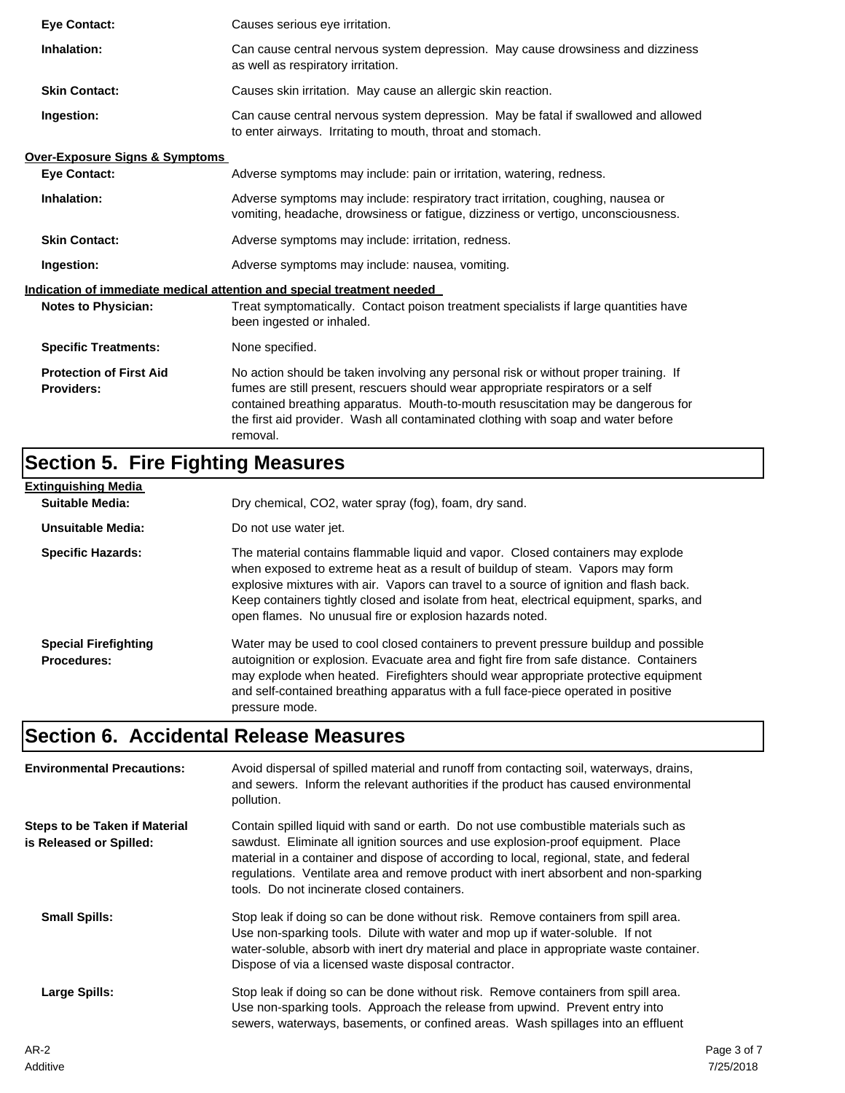| <b>Eve Contact:</b>                                 | Causes serious eye irritation.                                                                                                                                                                                                                                                                                                                               |
|-----------------------------------------------------|--------------------------------------------------------------------------------------------------------------------------------------------------------------------------------------------------------------------------------------------------------------------------------------------------------------------------------------------------------------|
| Inhalation:                                         | Can cause central nervous system depression. May cause drowsiness and dizziness<br>as well as respiratory irritation.                                                                                                                                                                                                                                        |
| <b>Skin Contact:</b>                                | Causes skin irritation. May cause an allergic skin reaction.                                                                                                                                                                                                                                                                                                 |
| Ingestion:                                          | Can cause central nervous system depression. May be fatal if swallowed and allowed<br>to enter airways. Irritating to mouth, throat and stomach.                                                                                                                                                                                                             |
| <b>Over-Exposure Signs &amp; Symptoms</b>           |                                                                                                                                                                                                                                                                                                                                                              |
| <b>Eve Contact:</b>                                 | Adverse symptoms may include: pain or irritation, watering, redness.                                                                                                                                                                                                                                                                                         |
| Inhalation:                                         | Adverse symptoms may include: respiratory tract irritation, coughing, nausea or<br>vomiting, headache, drowsiness or fatigue, dizziness or vertigo, unconsciousness.                                                                                                                                                                                         |
| <b>Skin Contact:</b>                                | Adverse symptoms may include: irritation, redness.                                                                                                                                                                                                                                                                                                           |
| Ingestion:                                          | Adverse symptoms may include: nausea, vomiting.                                                                                                                                                                                                                                                                                                              |
|                                                     | Indication of immediate medical attention and special treatment needed                                                                                                                                                                                                                                                                                       |
| <b>Notes to Physician:</b>                          | Treat symptomatically. Contact poison treatment specialists if large quantities have<br>been ingested or inhaled.                                                                                                                                                                                                                                            |
| <b>Specific Treatments:</b>                         | None specified.                                                                                                                                                                                                                                                                                                                                              |
| <b>Protection of First Aid</b><br><b>Providers:</b> | No action should be taken involving any personal risk or without proper training. If<br>fumes are still present, rescuers should wear appropriate respirators or a self<br>contained breathing apparatus. Mouth-to-mouth resuscitation may be dangerous for<br>the first aid provider. Wash all contaminated clothing with soap and water before<br>removal. |

# **Section 5. Fire Fighting Measures**

| <b>Extinguishing Media</b>                        |                                                                                                                                                                                                                                                                                                                                                                                                                   |
|---------------------------------------------------|-------------------------------------------------------------------------------------------------------------------------------------------------------------------------------------------------------------------------------------------------------------------------------------------------------------------------------------------------------------------------------------------------------------------|
| <b>Suitable Media:</b>                            | Dry chemical, CO2, water spray (fog), foam, dry sand.                                                                                                                                                                                                                                                                                                                                                             |
| Unsuitable Media:                                 | Do not use water jet.                                                                                                                                                                                                                                                                                                                                                                                             |
| <b>Specific Hazards:</b>                          | The material contains flammable liquid and vapor. Closed containers may explode<br>when exposed to extreme heat as a result of buildup of steam. Vapors may form<br>explosive mixtures with air. Vapors can travel to a source of ignition and flash back.<br>Keep containers tightly closed and isolate from heat, electrical equipment, sparks, and<br>open flames. No unusual fire or explosion hazards noted. |
| <b>Special Firefighting</b><br><b>Procedures:</b> | Water may be used to cool closed containers to prevent pressure buildup and possible<br>autoignition or explosion. Evacuate area and fight fire from safe distance. Containers<br>may explode when heated. Firefighters should wear appropriate protective equipment<br>and self-contained breathing apparatus with a full face-piece operated in positive<br>pressure mode.                                      |

# **Section 6. Accidental Release Measures**

| <b>Environmental Precautions:</b>                        | Avoid dispersal of spilled material and runoff from contacting soil, waterways, drains,<br>and sewers. Inform the relevant authorities if the product has caused environmental<br>pollution.                                                                                                                                                                                                              |  |  |
|----------------------------------------------------------|-----------------------------------------------------------------------------------------------------------------------------------------------------------------------------------------------------------------------------------------------------------------------------------------------------------------------------------------------------------------------------------------------------------|--|--|
| Steps to be Taken if Material<br>is Released or Spilled: | Contain spilled liquid with sand or earth. Do not use combustible materials such as<br>sawdust. Eliminate all ignition sources and use explosion-proof equipment. Place<br>material in a container and dispose of according to local, regional, state, and federal<br>regulations. Ventilate area and remove product with inert absorbent and non-sparking<br>tools. Do not incinerate closed containers. |  |  |
| <b>Small Spills:</b>                                     | Stop leak if doing so can be done without risk. Remove containers from spill area.<br>Use non-sparking tools. Dilute with water and mop up if water-soluble. If not<br>water-soluble, absorb with inert dry material and place in appropriate waste container.<br>Dispose of via a licensed waste disposal contractor.                                                                                    |  |  |
| Large Spills:                                            | Stop leak if doing so can be done without risk. Remove containers from spill area.<br>Use non-sparking tools. Approach the release from upwind. Prevent entry into<br>sewers, waterways, basements, or confined areas. Wash spillages into an effluent                                                                                                                                                    |  |  |
| $\sim$ $\sim$                                            |                                                                                                                                                                                                                                                                                                                                                                                                           |  |  |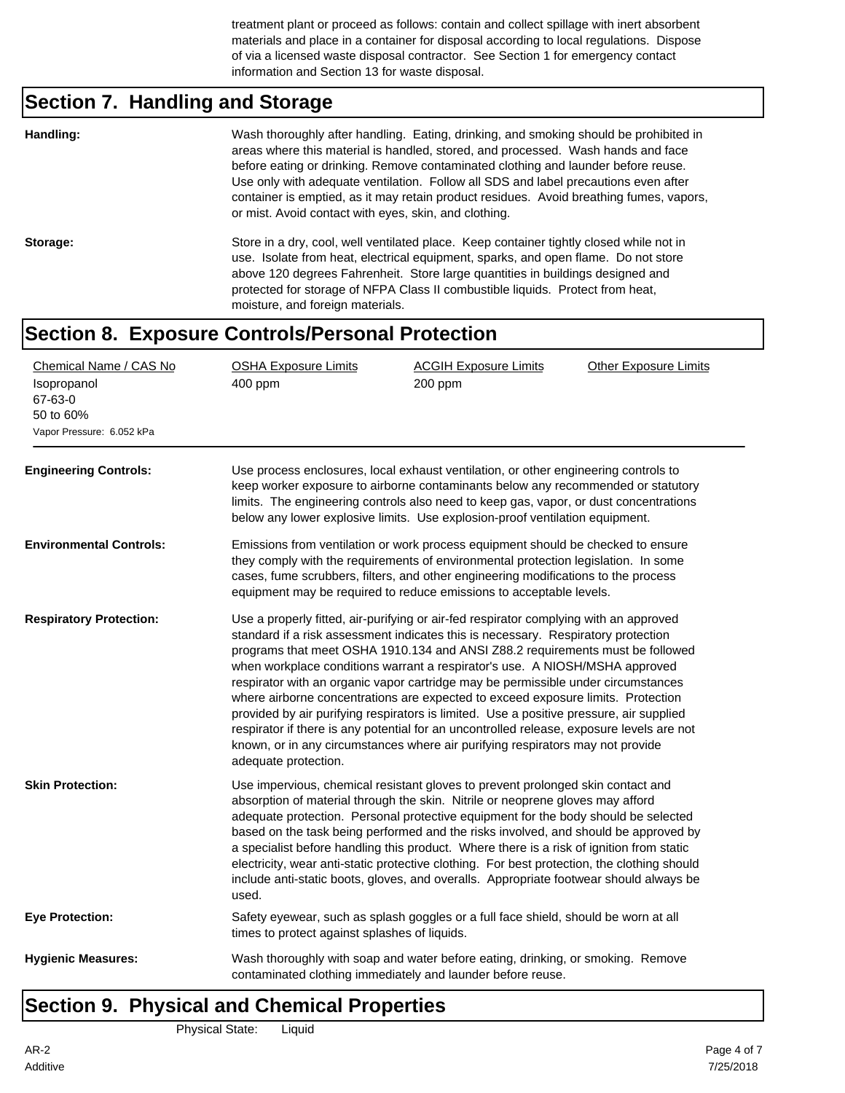treatment plant or proceed as follows: contain and collect spillage with inert absorbent materials and place in a container for disposal according to local regulations. Dispose of via a licensed waste disposal contractor. See Section 1 for emergency contact information and Section 13 for waste disposal.

# **Section 7. Handling and Storage**

|          | or mist. Avoid contact with eyes, skin, and clothing.                                                                                                                                                                                                                                                                                                                                 |
|----------|---------------------------------------------------------------------------------------------------------------------------------------------------------------------------------------------------------------------------------------------------------------------------------------------------------------------------------------------------------------------------------------|
| Storage: | Store in a dry, cool, well ventilated place. Keep container tightly closed while not in<br>use. Isolate from heat, electrical equipment, sparks, and open flame. Do not store<br>above 120 degrees Fahrenheit. Store large quantities in buildings designed and<br>protected for storage of NFPA Class II combustible liquids. Protect from heat,<br>moisture, and foreign materials. |

#### **Section 8. Exposure Controls/Personal Protection**

| Chemical Name / CAS No<br>Isopropanol<br>67-63-0<br>50 to 60%<br>Vapor Pressure: 6.052 kPa | <b>OSHA Exposure Limits</b><br>400 ppm                                                                                                                                                                                                                                                                                                                                                                                                                                                                                                                                                                                                                                                                                                                                                                                | <b>ACGIH Exposure Limits</b><br>200 ppm | <b>Other Exposure Limits</b> |
|--------------------------------------------------------------------------------------------|-----------------------------------------------------------------------------------------------------------------------------------------------------------------------------------------------------------------------------------------------------------------------------------------------------------------------------------------------------------------------------------------------------------------------------------------------------------------------------------------------------------------------------------------------------------------------------------------------------------------------------------------------------------------------------------------------------------------------------------------------------------------------------------------------------------------------|-----------------------------------------|------------------------------|
| <b>Engineering Controls:</b>                                                               | Use process enclosures, local exhaust ventilation, or other engineering controls to<br>keep worker exposure to airborne contaminants below any recommended or statutory<br>limits. The engineering controls also need to keep gas, vapor, or dust concentrations<br>below any lower explosive limits. Use explosion-proof ventilation equipment.                                                                                                                                                                                                                                                                                                                                                                                                                                                                      |                                         |                              |
| <b>Environmental Controls:</b>                                                             | Emissions from ventilation or work process equipment should be checked to ensure<br>they comply with the requirements of environmental protection legislation. In some<br>cases, fume scrubbers, filters, and other engineering modifications to the process<br>equipment may be required to reduce emissions to acceptable levels.                                                                                                                                                                                                                                                                                                                                                                                                                                                                                   |                                         |                              |
| <b>Respiratory Protection:</b>                                                             | Use a properly fitted, air-purifying or air-fed respirator complying with an approved<br>standard if a risk assessment indicates this is necessary. Respiratory protection<br>programs that meet OSHA 1910.134 and ANSI Z88.2 requirements must be followed<br>when workplace conditions warrant a respirator's use. A NIOSH/MSHA approved<br>respirator with an organic vapor cartridge may be permissible under circumstances<br>where airborne concentrations are expected to exceed exposure limits. Protection<br>provided by air purifying respirators is limited. Use a positive pressure, air supplied<br>respirator if there is any potential for an uncontrolled release, exposure levels are not<br>known, or in any circumstances where air purifying respirators may not provide<br>adequate protection. |                                         |                              |
| <b>Skin Protection:</b>                                                                    | Use impervious, chemical resistant gloves to prevent prolonged skin contact and<br>absorption of material through the skin. Nitrile or neoprene gloves may afford<br>adequate protection. Personal protective equipment for the body should be selected<br>based on the task being performed and the risks involved, and should be approved by<br>a specialist before handling this product. Where there is a risk of ignition from static<br>electricity, wear anti-static protective clothing. For best protection, the clothing should<br>include anti-static boots, gloves, and overalls. Appropriate footwear should always be<br>used.                                                                                                                                                                          |                                         |                              |
| <b>Eye Protection:</b>                                                                     | Safety eyewear, such as splash goggles or a full face shield, should be worn at all<br>times to protect against splashes of liquids.                                                                                                                                                                                                                                                                                                                                                                                                                                                                                                                                                                                                                                                                                  |                                         |                              |
| <b>Hygienic Measures:</b>                                                                  | Wash thoroughly with soap and water before eating, drinking, or smoking. Remove<br>contaminated clothing immediately and launder before reuse.                                                                                                                                                                                                                                                                                                                                                                                                                                                                                                                                                                                                                                                                        |                                         |                              |

# **Section 9. Physical and Chemical Properties**

Physical State: Liquid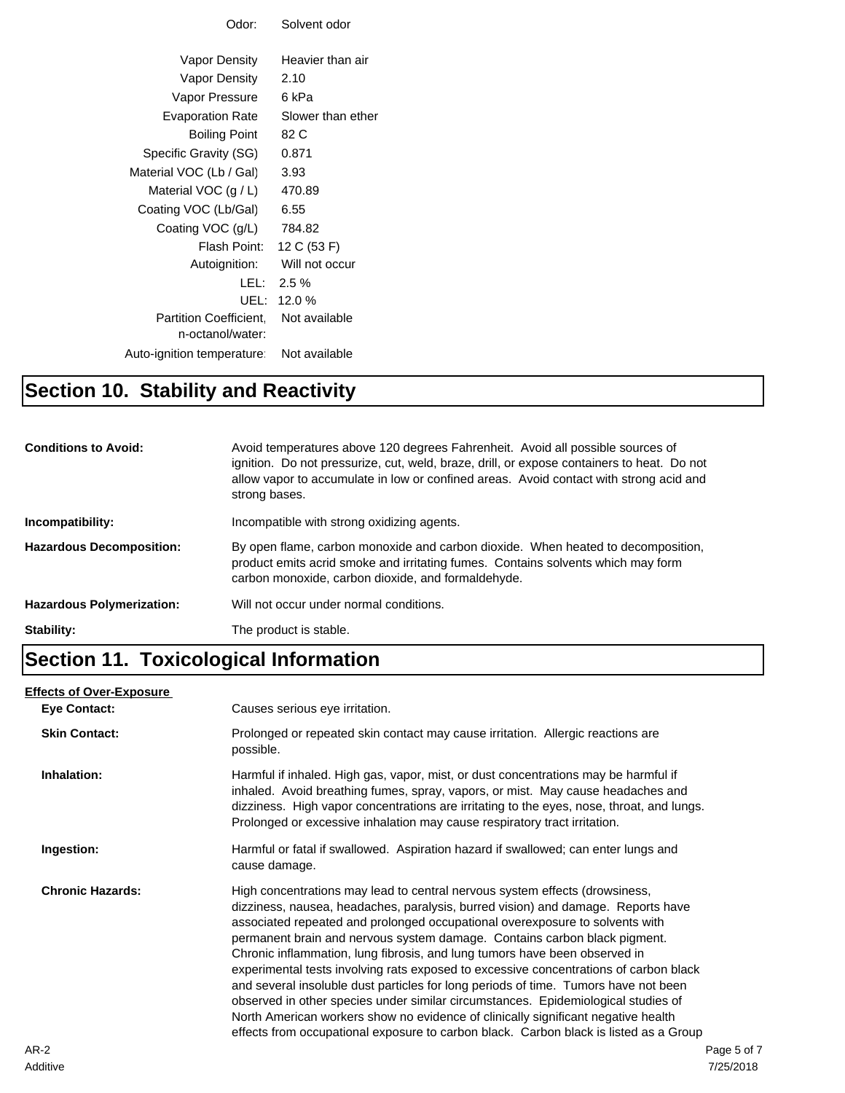| Odor:                        | Solvent odor      |
|------------------------------|-------------------|
|                              |                   |
| Vapor Density                | Heavier than air  |
| Vapor Density                | 2.10              |
| Vapor Pressure               | 6 kPa             |
| <b>Evaporation Rate</b>      | Slower than ether |
| <b>Boiling Point</b>         | 82 C              |
| Specific Gravity (SG)        | 0.871             |
| Material VOC (Lb / Gal)      | 3.93              |
| Material VOC $(g/L)$         | 470.89            |
| Coating VOC (Lb/Gal)         | 6.55              |
| Coating VOC (g/L)            | 784.82            |
| Flash Point: I               | 12 C (53 F)       |
| Autoignition:                | Will not occur    |
|                              | LEL: $2.5\%$      |
| UEL:                         | 12.0%             |
| <b>Partition Coefficient</b> | Not available     |
| n-octanol/water:             |                   |
| Auto-ignition temperature:   | Not available     |
|                              |                   |

### **Section 10. Stability and Reactivity**

| <b>Conditions to Avoid:</b>      | Avoid temperatures above 120 degrees Fahrenheit. Avoid all possible sources of<br>ignition. Do not pressurize, cut, weld, braze, drill, or expose containers to heat. Do not<br>allow vapor to accumulate in low or confined areas. Avoid contact with strong acid and<br>strong bases. |
|----------------------------------|-----------------------------------------------------------------------------------------------------------------------------------------------------------------------------------------------------------------------------------------------------------------------------------------|
| Incompatibility:                 | Incompatible with strong oxidizing agents.                                                                                                                                                                                                                                              |
| <b>Hazardous Decomposition:</b>  | By open flame, carbon monoxide and carbon dioxide. When heated to decomposition,<br>product emits acrid smoke and irritating fumes. Contains solvents which may form<br>carbon monoxide, carbon dioxide, and formaldehyde.                                                              |
| <b>Hazardous Polymerization:</b> | Will not occur under normal conditions.                                                                                                                                                                                                                                                 |
| Stability:                       | The product is stable.                                                                                                                                                                                                                                                                  |

### **Section 11. Toxicological Information**

#### **Eye Contact: Skin Contact:** Prolonged or repeated skin contact may cause irritation. Allergic reactions are possible. **Inhalation:** Harmful if inhaled. High gas, vapor, mist, or dust concentrations may be harmful if inhaled. Avoid breathing fumes, spray, vapors, or mist. May cause headaches and dizziness. High vapor concentrations are irritating to the eyes, nose, throat, and lungs. Prolonged or excessive inhalation may cause respiratory tract irritation. **Ingestion:** Harmful or fatal if swallowed. Aspiration hazard if swallowed; can enter lungs and cause damage. **Chronic Hazards:** High concentrations may lead to central nervous system effects (drowsiness, dizziness, nausea, headaches, paralysis, burred vision) and damage. Reports have associated repeated and prolonged occupational overexposure to solvents with permanent brain and nervous system damage. Contains carbon black pigment. Chronic inflammation, lung fibrosis, and lung tumors have been observed in experimental tests involving rats exposed to excessive concentrations of carbon black and several insoluble dust particles for long periods of time. Tumors have not been observed in other species under similar circumstances. Epidemiological studies of North American workers show no evidence of clinically significant negative health effects from occupational exposure to carbon black. Carbon black is listed as a Group **Effects of Over-Exposure** Causes serious eye irritation.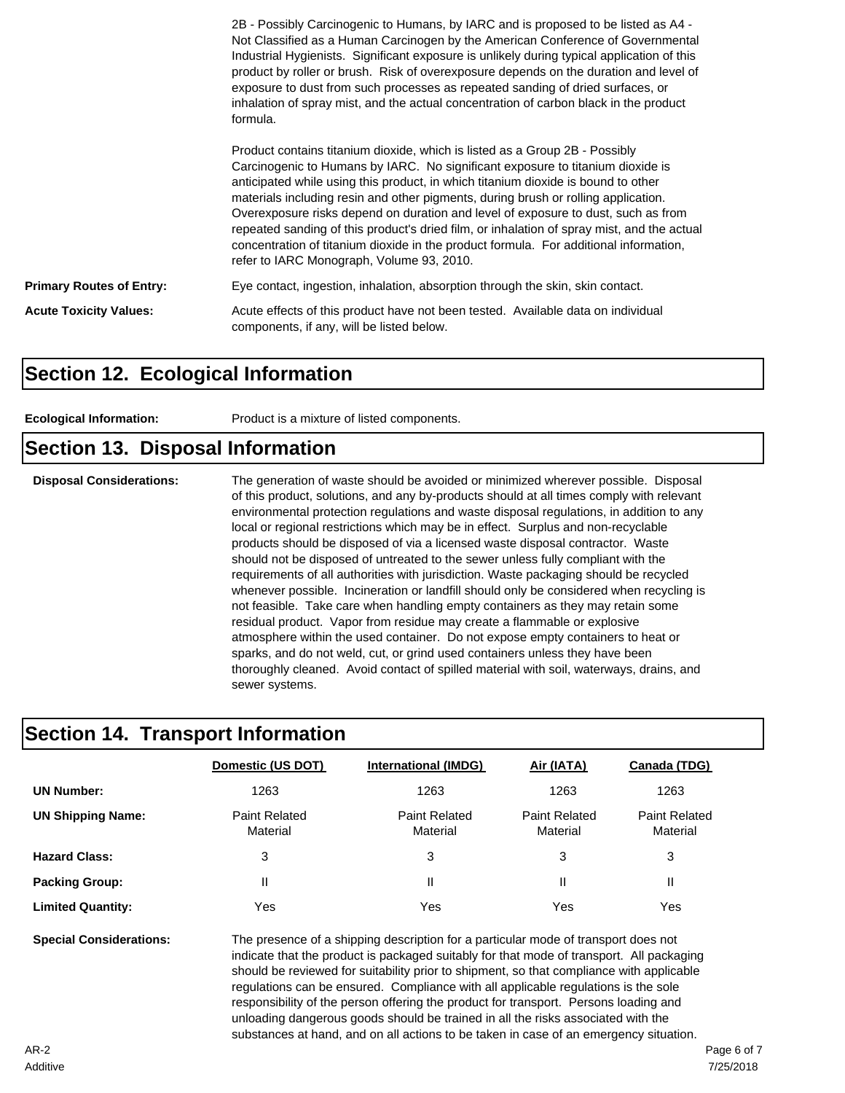|                                 | 2B - Possibly Carcinogenic to Humans, by IARC and is proposed to be listed as A4 -<br>Not Classified as a Human Carcinogen by the American Conference of Governmental<br>Industrial Hygienists. Significant exposure is unlikely during typical application of this<br>product by roller or brush. Risk of overexposure depends on the duration and level of<br>exposure to dust from such processes as repeated sanding of dried surfaces, or<br>inhalation of spray mist, and the actual concentration of carbon black in the product<br>formula.                                                                                                               |
|---------------------------------|-------------------------------------------------------------------------------------------------------------------------------------------------------------------------------------------------------------------------------------------------------------------------------------------------------------------------------------------------------------------------------------------------------------------------------------------------------------------------------------------------------------------------------------------------------------------------------------------------------------------------------------------------------------------|
|                                 | Product contains titanium dioxide, which is listed as a Group 2B - Possibly<br>Carcinogenic to Humans by IARC. No significant exposure to titanium dioxide is<br>anticipated while using this product, in which titanium dioxide is bound to other<br>materials including resin and other pigments, during brush or rolling application.<br>Overexposure risks depend on duration and level of exposure to dust, such as from<br>repeated sanding of this product's dried film, or inhalation of spray mist, and the actual<br>concentration of titanium dioxide in the product formula. For additional information,<br>refer to IARC Monograph, Volume 93, 2010. |
| <b>Primary Routes of Entry:</b> | Eye contact, ingestion, inhalation, absorption through the skin, skin contact.                                                                                                                                                                                                                                                                                                                                                                                                                                                                                                                                                                                    |
| <b>Acute Toxicity Values:</b>   | Acute effects of this product have not been tested. Available data on individual<br>components, if any, will be listed below.                                                                                                                                                                                                                                                                                                                                                                                                                                                                                                                                     |

#### **Section 12. Ecological Information**

**Ecological Information:** Product is a mixture of listed components.

#### **Section 13. Disposal Information**

**Disposal Considerations:** The generation of waste should be avoided or minimized wherever possible. Disposal of this product, solutions, and any by-products should at all times comply with relevant environmental protection regulations and waste disposal regulations, in addition to any local or regional restrictions which may be in effect. Surplus and non-recyclable products should be disposed of via a licensed waste disposal contractor. Waste should not be disposed of untreated to the sewer unless fully compliant with the requirements of all authorities with jurisdiction. Waste packaging should be recycled whenever possible. Incineration or landfill should only be considered when recycling is not feasible. Take care when handling empty containers as they may retain some residual product. Vapor from residue may create a flammable or explosive atmosphere within the used container. Do not expose empty containers to heat or sparks, and do not weld, cut, or grind used containers unless they have been thoroughly cleaned. Avoid contact of spilled material with soil, waterways, drains, and sewer systems.

#### **Section 14. Transport Information**

|                          | Domestic (US DOT)                | <b>International (IMDG)</b>      | Air (IATA)                       | Canada (TDG)                     |
|--------------------------|----------------------------------|----------------------------------|----------------------------------|----------------------------------|
| <b>UN Number:</b>        | 1263                             | 1263                             | 1263                             | 1263                             |
| <b>UN Shipping Name:</b> | <b>Paint Related</b><br>Material | <b>Paint Related</b><br>Material | <b>Paint Related</b><br>Material | <b>Paint Related</b><br>Material |
| <b>Hazard Class:</b>     | 3                                | 3                                | 3                                | 3                                |
| <b>Packing Group:</b>    | Ш                                | Ш                                |                                  | Ш                                |
| <b>Limited Quantity:</b> | Yes                              | Yes                              | Yes                              | Yes                              |

**Special Considerations:** The presence of a shipping description for a particular mode of transport does not indicate that the product is packaged suitably for that mode of transport. All packaging should be reviewed for suitability prior to shipment, so that compliance with applicable regulations can be ensured. Compliance with all applicable regulations is the sole responsibility of the person offering the product for transport. Persons loading and unloading dangerous goods should be trained in all the risks associated with the substances at hand, and on all actions to be taken in case of an emergency situation.